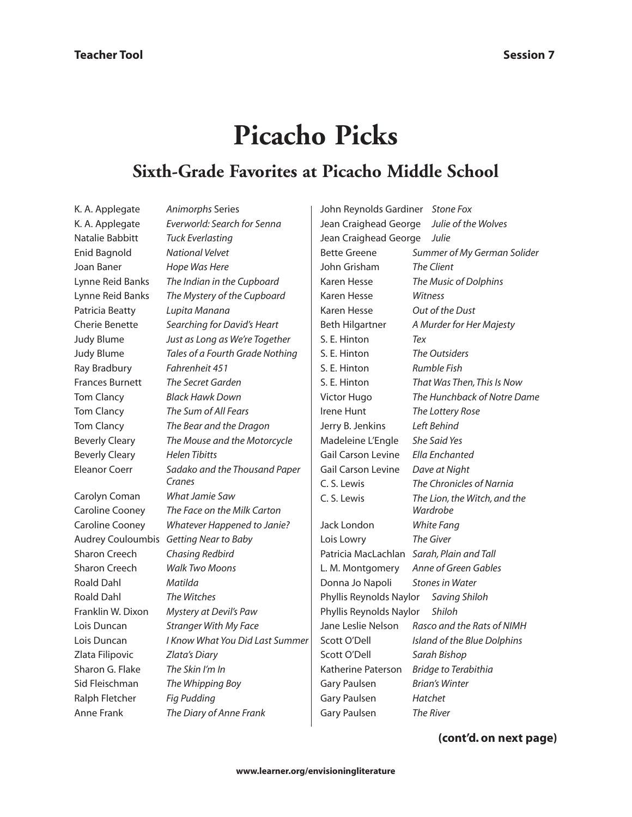## **Picacho Picks**

## **Sixth-Grade Favorites at Picacho Middle School**

K. A. Applegate *Animorphs* Series Natalie Babbitt *Tuck Everlasting* Enid Bagnold *National Velvet* Joan Baner *Hope Was Here* Patricia Beatty *Lupita Manana* Ray Bradbury *Fahrenheit 451* Frances Burnett *The Secret Garden* Tom Clancy *Black Hawk Down* Beverly Cleary *Helen Tibitts* Carolyn Coman *What Jamie Saw*

Sharon Creech *Chasing Redbird* Sharon Creech *Walk Two Moons* Roald Dahl *Matilda* Roald Dahl *The Witches* Zlata Filipovic *Zlata's Diary* Sharon G. Flake *The Skin I'm In* Sid Fleischman *The Whipping Boy* Ralph Fletcher *Fig Pudding* Anne Frank *The Diary of Anne Frank*

K. A. Applegate *Everworld: Search for Senna* Lynne Reid Banks *The Indian in the Cupboard* Lynne Reid Banks *The Mystery of the Cupboard* Cherie Benette *Searching for David's Heart* Judy Blume *Just as Long as We're Together* Judy Blume *Tales of a Fourth Grade Nothing* Tom Clancy *The Sum of All Fears* Tom Clancy *The Bear and the Dragon* Beverly Cleary *The Mouse and the Motorcycle* Eleanor Coerr *Sadako and the Thousand Paper Cranes* Caroline Cooney *The Face on the Milk Carton* Caroline Cooney *Whatever Happened to Janie?* Audrey Couloumbis *Getting Near to Baby* Franklin W. Dixon *Mystery at Devil's Paw* Lois Duncan *Stranger With My Face* Lois Duncan *I Know What You Did Last Summer*

| John Reynolds Gardiner Stone Fox         |                              |  |  |  |
|------------------------------------------|------------------------------|--|--|--|
| Jean Craighead George                    | Julie of the Wolves          |  |  |  |
| Jean Craighead George                    | Julie                        |  |  |  |
| <b>Bette Greene</b>                      | Summer of My German Solider  |  |  |  |
| John Grisham                             | The Client                   |  |  |  |
| Karen Hesse                              | The Music of Dolphins        |  |  |  |
| Karen Hesse                              | Witness                      |  |  |  |
| Karen Hesse                              | Out of the Dust              |  |  |  |
| Beth Hilgartner                          | A Murder for Her Majesty     |  |  |  |
| S. E. Hinton                             | Tex                          |  |  |  |
| S. E. Hinton                             | <b>The Outsiders</b>         |  |  |  |
| S. E. Hinton                             | Rumble Fish                  |  |  |  |
| S. E. Hinton                             | That Was Then, This Is Now   |  |  |  |
| Victor Hugo                              | The Hunchback of Notre Dame  |  |  |  |
| <b>Irene Hunt</b>                        | The Lottery Rose             |  |  |  |
| Jerry B. Jenkins                         | Left Behind                  |  |  |  |
| Madeleine L'Engle                        | She Said Yes                 |  |  |  |
| <b>Gail Carson Levine</b>                | Ella Enchanted               |  |  |  |
| <b>Gail Carson Levine</b>                | Dave at Night                |  |  |  |
| C. S. Lewis                              | The Chronicles of Narnia     |  |  |  |
| C. S. Lewis                              | The Lion, the Witch, and the |  |  |  |
|                                          | Wardrobe                     |  |  |  |
| Jack London                              | White Fang                   |  |  |  |
| Lois Lowry                               | The Giver                    |  |  |  |
| Patricia MacLachlan                      | Sarah, Plain and Tall        |  |  |  |
| L. M. Montgomery                         | Anne of Green Gables         |  |  |  |
| Donna Jo Napoli                          | <b>Stones in Water</b>       |  |  |  |
| Phyllis Reynolds Naylor<br>Saving Shiloh |                              |  |  |  |
| Phyllis Reynolds Naylor                  | Shiloh                       |  |  |  |
| Jane Leslie Nelson                       | Rasco and the Rats of NIMH   |  |  |  |
| Scott O'Dell                             | Island of the Blue Dolphins  |  |  |  |
| Scott O'Dell                             | Sarah Bishop                 |  |  |  |
| Katherine Paterson                       | <b>Bridge to Terabithia</b>  |  |  |  |
| Gary Paulsen                             | <b>Brian's Winter</b>        |  |  |  |
| <b>Gary Paulsen</b>                      | Hatchet                      |  |  |  |
| Gary Paulsen                             | The River                    |  |  |  |

**(cont'd. on next page)**